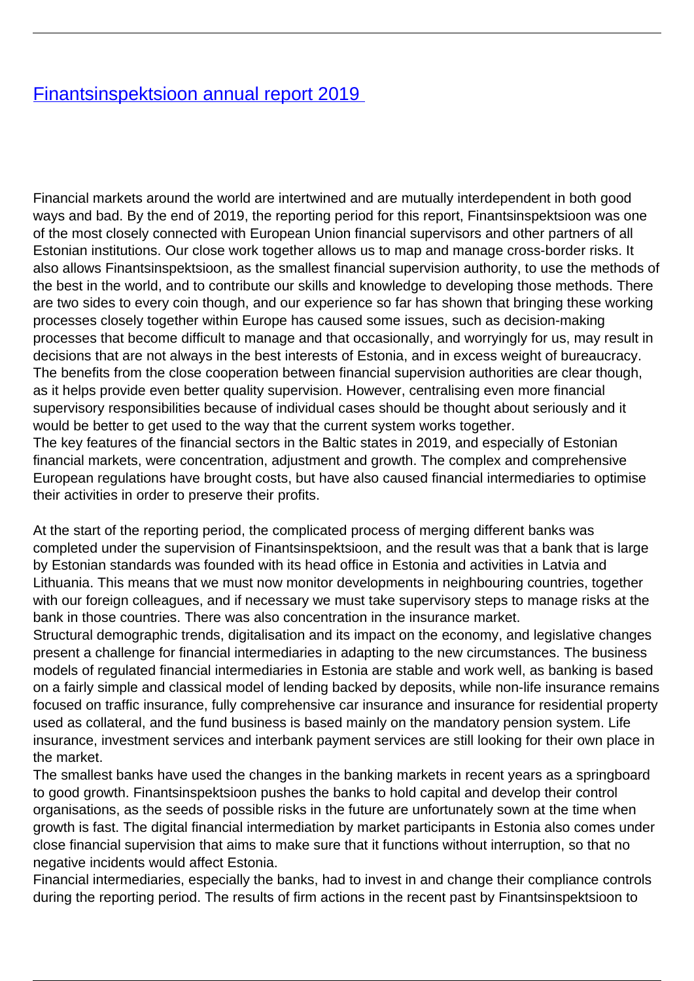## [Finantsinspektsioon annual report 2019](/en/publications/finantsinspektsioon-annual-report-2019)

Financial markets around the world are intertwined and are mutually interdependent in both good ways and bad. By the end of 2019, the reporting period for this report, Finantsinspektsioon was one of the most closely connected with European Union financial supervisors and other partners of all Estonian institutions. Our close work together allows us to map and manage cross-border risks. It also allows Finantsinspektsioon, as the smallest financial supervision authority, to use the methods of the best in the world, and to contribute our skills and knowledge to developing those methods. There are two sides to every coin though, and our experience so far has shown that bringing these working processes closely together within Europe has caused some issues, such as decision-making processes that become difficult to manage and that occasionally, and worryingly for us, may result in decisions that are not always in the best interests of Estonia, and in excess weight of bureaucracy. The benefits from the close cooperation between financial supervision authorities are clear though, as it helps provide even better quality supervision. However, centralising even more financial supervisory responsibilities because of individual cases should be thought about seriously and it would be better to get used to the way that the current system works together. The key features of the financial sectors in the Baltic states in 2019, and especially of Estonian financial markets, were concentration, adjustment and growth. The complex and comprehensive European regulations have brought costs, but have also caused financial intermediaries to optimise their activities in order to preserve their profits.

At the start of the reporting period, the complicated process of merging different banks was completed under the supervision of Finantsinspektsioon, and the result was that a bank that is large by Estonian standards was founded with its head office in Estonia and activities in Latvia and Lithuania. This means that we must now monitor developments in neighbouring countries, together with our foreign colleagues, and if necessary we must take supervisory steps to manage risks at the bank in those countries. There was also concentration in the insurance market.

Structural demographic trends, digitalisation and its impact on the economy, and legislative changes present a challenge for financial intermediaries in adapting to the new circumstances. The business models of regulated financial intermediaries in Estonia are stable and work well, as banking is based on a fairly simple and classical model of lending backed by deposits, while non-life insurance remains focused on traffic insurance, fully comprehensive car insurance and insurance for residential property used as collateral, and the fund business is based mainly on the mandatory pension system. Life insurance, investment services and interbank payment services are still looking for their own place in the market.

The smallest banks have used the changes in the banking markets in recent years as a springboard to good growth. Finantsinspektsioon pushes the banks to hold capital and develop their control organisations, as the seeds of possible risks in the future are unfortunately sown at the time when growth is fast. The digital financial intermediation by market participants in Estonia also comes under close financial supervision that aims to make sure that it functions without interruption, so that no negative incidents would affect Estonia.

Financial intermediaries, especially the banks, had to invest in and change their compliance controls during the reporting period. The results of firm actions in the recent past by Finantsinspektsioon to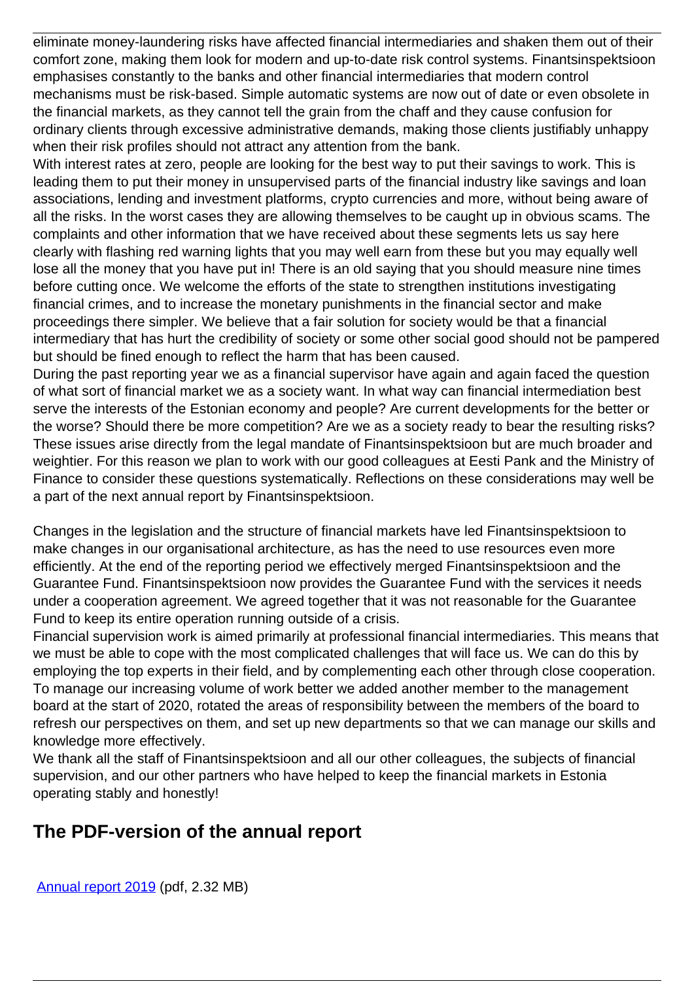eliminate money-laundering risks have affected financial intermediaries and shaken them out of their comfort zone, making them look for modern and up-to-date risk control systems. Finantsinspektsioon emphasises constantly to the banks and other financial intermediaries that modern control mechanisms must be risk-based. Simple automatic systems are now out of date or even obsolete in the financial markets, as they cannot tell the grain from the chaff and they cause confusion for ordinary clients through excessive administrative demands, making those clients justifiably unhappy when their risk profiles should not attract any attention from the bank.

With interest rates at zero, people are looking for the best way to put their savings to work. This is leading them to put their money in unsupervised parts of the financial industry like savings and loan associations, lending and investment platforms, crypto currencies and more, without being aware of all the risks. In the worst cases they are allowing themselves to be caught up in obvious scams. The complaints and other information that we have received about these segments lets us say here clearly with flashing red warning lights that you may well earn from these but you may equally well lose all the money that you have put in! There is an old saying that you should measure nine times before cutting once. We welcome the efforts of the state to strengthen institutions investigating financial crimes, and to increase the monetary punishments in the financial sector and make proceedings there simpler. We believe that a fair solution for society would be that a financial intermediary that has hurt the credibility of society or some other social good should not be pampered but should be fined enough to reflect the harm that has been caused.

During the past reporting year we as a financial supervisor have again and again faced the question of what sort of financial market we as a society want. In what way can financial intermediation best serve the interests of the Estonian economy and people? Are current developments for the better or the worse? Should there be more competition? Are we as a society ready to bear the resulting risks? These issues arise directly from the legal mandate of Finantsinspektsioon but are much broader and weightier. For this reason we plan to work with our good colleagues at Eesti Pank and the Ministry of Finance to consider these questions systematically. Reflections on these considerations may well be a part of the next annual report by Finantsinspektsioon.

Changes in the legislation and the structure of financial markets have led Finantsinspektsioon to make changes in our organisational architecture, as has the need to use resources even more efficiently. At the end of the reporting period we effectively merged Finantsinspektsioon and the Guarantee Fund. Finantsinspektsioon now provides the Guarantee Fund with the services it needs under a cooperation agreement. We agreed together that it was not reasonable for the Guarantee Fund to keep its entire operation running outside of a crisis.

Financial supervision work is aimed primarily at professional financial intermediaries. This means that we must be able to cope with the most complicated challenges that will face us. We can do this by employing the top experts in their field, and by complementing each other through close cooperation. To manage our increasing volume of work better we added another member to the management board at the start of 2020, rotated the areas of responsibility between the members of the board to refresh our perspectives on them, and set up new departments so that we can manage our skills and knowledge more effectively.

We thank all the staff of Finantsinspektsioon and all our other colleagues, the subjects of financial supervision, and our other partners who have helped to keep the financial markets in Estonia operating stably and honestly!

## **The PDF-version of the annual report**